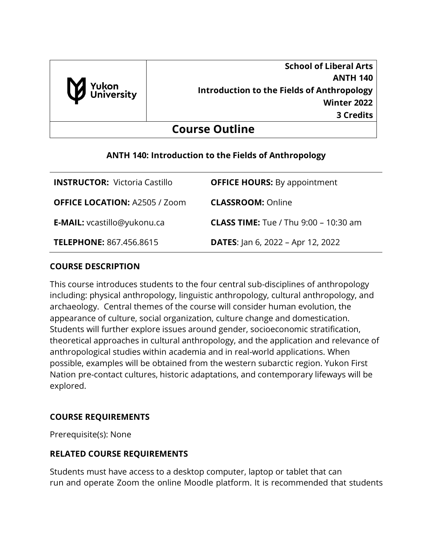

**School of Liberal Arts ANTH 140 Introduction to the Fields of Anthropology Winter 2022 3 Credits**

# **Course Outline**

## **ANTH 140: Introduction to the Fields of Anthropology**

| <b>INSTRUCTOR: Victoria Castillo</b> | <b>OFFICE HOURS:</b> By appointment            |
|--------------------------------------|------------------------------------------------|
| <b>OFFICE LOCATION: A2505 / Zoom</b> | <b>CLASSROOM: Online</b>                       |
| <b>E-MAIL:</b> vcastillo@yukonu.ca   | <b>CLASS TIME:</b> Tue / Thu $9:00 - 10:30$ am |
| <b>TELEPHONE: 867.456.8615</b>       | <b>DATES:</b> Jan 6, 2022 – Apr 12, 2022       |

## **COURSE DESCRIPTION**

This course introduces students to the four central sub-disciplines of anthropology including: physical anthropology, linguistic anthropology, cultural anthropology, and archaeology. Central themes of the course will consider human evolution, the appearance of culture, social organization, culture change and domestication. Students will further explore issues around gender, socioeconomic stratification, theoretical approaches in cultural anthropology, and the application and relevance of anthropological studies within academia and in real-world applications. When possible, examples will be obtained from the western subarctic region. Yukon First Nation pre-contact cultures, historic adaptations, and contemporary lifeways will be explored.

## **COURSE REQUIREMENTS**

Prerequisite(s): None

## **RELATED COURSE REQUIREMENTS**

Students must have access to a desktop computer, laptop or tablet that can run and operate Zoom the online Moodle platform. It is recommended that students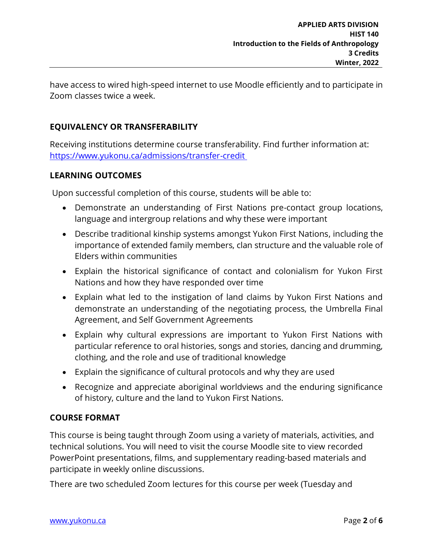have access to wired high-speed internet to use Moodle efficiently and to participate in Zoom classes twice a week.

## **EQUIVALENCY OR TRANSFERABILITY**

Receiving institutions determine course transferability. Find further information at: [https://www.yukonu.ca/admissions/transfer-credit](https://www.yukonu.ca/admissions/transfer-credit )

## **LEARNING OUTCOMES**

Upon successful completion of this course, students will be able to:

- Demonstrate an understanding of First Nations pre-contact group locations, language and intergroup relations and why these were important
- Describe traditional kinship systems amongst Yukon First Nations, including the importance of extended family members, clan structure and the valuable role of Elders within communities
- Explain the historical significance of contact and colonialism for Yukon First Nations and how they have responded over time
- Explain what led to the instigation of land claims by Yukon First Nations and demonstrate an understanding of the negotiating process, the Umbrella Final Agreement, and Self Government Agreements
- Explain why cultural expressions are important to Yukon First Nations with particular reference to oral histories, songs and stories, dancing and drumming, clothing, and the role and use of traditional knowledge
- Explain the significance of cultural protocols and why they are used
- Recognize and appreciate aboriginal worldviews and the enduring significance of history, culture and the land to Yukon First Nations.

## **COURSE FORMAT**

This course is being taught through Zoom using a variety of materials, activities, and technical solutions. You will need to visit the course Moodle site to view recorded PowerPoint presentations, films, and supplementary reading-based materials and participate in weekly online discussions.

There are two scheduled Zoom lectures for this course per week (Tuesday and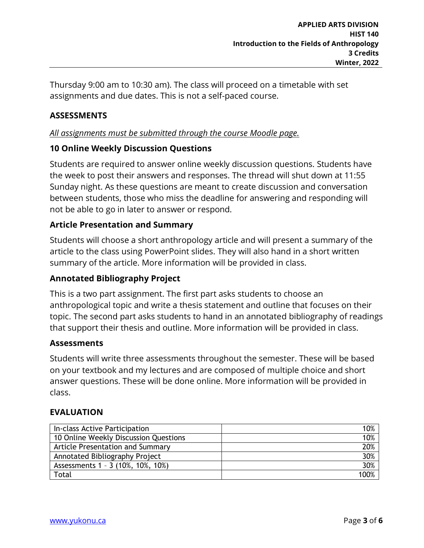Thursday 9:00 am to 10:30 am). The class will proceed on a timetable with set assignments and due dates. This is not a self-paced course.

## **ASSESSMENTS**

## *All assignments must be submitted through the course Moodle page.*

### **10 Online Weekly Discussion Questions**

Students are required to answer online weekly discussion questions. Students have the week to post their answers and responses. The thread will shut down at 11:55 Sunday night. As these questions are meant to create discussion and conversation between students, those who miss the deadline for answering and responding will not be able to go in later to answer or respond.

### **Article Presentation and Summary**

Students will choose a short anthropology article and will present a summary of the article to the class using PowerPoint slides. They will also hand in a short written summary of the article. More information will be provided in class.

### **Annotated Bibliography Project**

This is a two part assignment. The first part asks students to choose an anthropological topic and write a thesis statement and outline that focuses on their topic. The second part asks students to hand in an annotated bibliography of readings that support their thesis and outline. More information will be provided in class.

#### **Assessments**

Students will write three assessments throughout the semester. These will be based on your textbook and my lectures and are composed of multiple choice and short answer questions. These will be done online. More information will be provided in class.

#### **EVALUATION**

| In-class Active Participation         | 10%  |
|---------------------------------------|------|
| 10 Online Weekly Discussion Questions | 10%  |
| Article Presentation and Summary      | 20%  |
| Annotated Bibliography Project        | 30%  |
| Assessments 1 - 3 (10%, 10%, 10%)     | 30%  |
| Total                                 | 100% |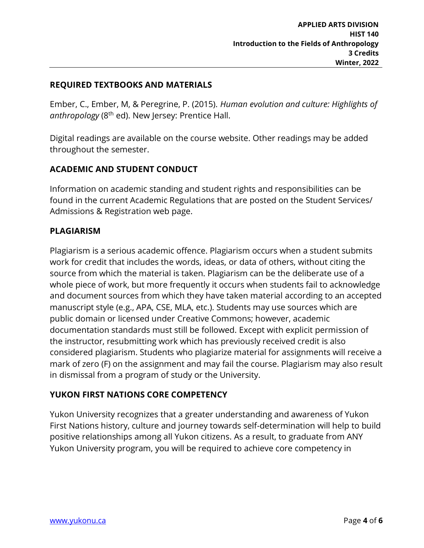### **REQUIRED TEXTBOOKS AND MATERIALS**

Ember, C., Ember, M, & Peregrine, P. (2015). *Human evolution and culture: Highlights of anthropology* (8th ed). New Jersey: Prentice Hall.

Digital readings are available on the course website. Other readings may be added throughout the semester.

## **ACADEMIC AND STUDENT CONDUCT**

Information on academic standing and student rights and responsibilities can be found in the current Academic Regulations that are posted on the Student Services/ Admissions & Registration web page.

### **PLAGIARISM**

Plagiarism is a serious academic offence. Plagiarism occurs when a student submits work for credit that includes the words, ideas, or data of others, without citing the source from which the material is taken. Plagiarism can be the deliberate use of a whole piece of work, but more frequently it occurs when students fail to acknowledge and document sources from which they have taken material according to an accepted manuscript style (e.g., APA, CSE, MLA, etc.). Students may use sources which are public domain or licensed under Creative Commons; however, academic documentation standards must still be followed. Except with explicit permission of the instructor, resubmitting work which has previously received credit is also considered plagiarism. Students who plagiarize material for assignments will receive a mark of zero (F) on the assignment and may fail the course. Plagiarism may also result in dismissal from a program of study or the University.

### **YUKON FIRST NATIONS CORE COMPETENCY**

Yukon University recognizes that a greater understanding and awareness of Yukon First Nations history, culture and journey towards self-determination will help to build positive relationships among all Yukon citizens. As a result, to graduate from ANY Yukon University program, you will be required to achieve core competency in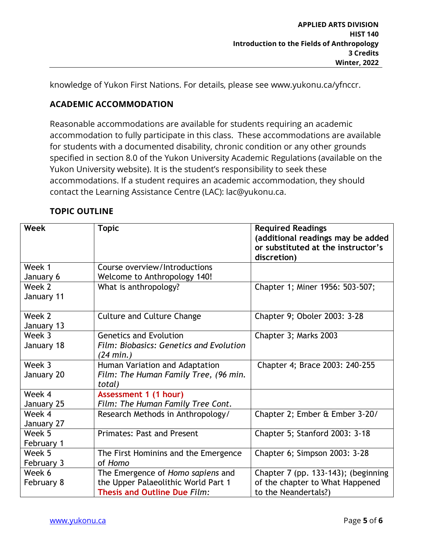knowledge of Yukon First Nations. For details, please see www.yukonu.ca/yfnccr.

# **ACADEMIC ACCOMMODATION**

Reasonable accommodations are available for students requiring an academic accommodation to fully participate in this class. These accommodations are available for students with a documented disability, chronic condition or any other grounds specified in section 8.0 of the Yukon University Academic Regulations (available on the Yukon University website). It is the student's responsibility to seek these accommodations. If a student requires an academic accommodation, they should contact the Learning Assistance Centre (LAC): lac@yukonu.ca.

# **TOPIC OUTLINE**

| Week                 | <b>Topic</b>                                                                                                    | <b>Required Readings</b><br>(additional readings may be added<br>or substituted at the instructor's<br>discretion) |
|----------------------|-----------------------------------------------------------------------------------------------------------------|--------------------------------------------------------------------------------------------------------------------|
| Week 1               | Course overview/Introductions                                                                                   |                                                                                                                    |
| January 6            | Welcome to Anthropology 140!                                                                                    |                                                                                                                    |
| Week 2<br>January 11 | What is anthropology?                                                                                           | Chapter 1; Miner 1956: 503-507;                                                                                    |
| Week 2<br>January 13 | <b>Culture and Culture Change</b>                                                                               | Chapter 9; Oboler 2003: 3-28                                                                                       |
| Week 3<br>January 18 | <b>Genetics and Evolution</b><br>Film: Biobasics: Genetics and Evolution<br>$(24 \text{ min.})$                 | Chapter 3; Marks 2003                                                                                              |
| Week 3<br>January 20 | Human Variation and Adaptation<br>Film: The Human Family Tree, (96 min.<br>total)                               | Chapter 4; Brace 2003: 240-255                                                                                     |
| Week 4<br>January 25 | Assessment 1 (1 hour)<br>Film: The Human Family Tree Cont.                                                      |                                                                                                                    |
| Week 4<br>January 27 | Research Methods in Anthropology/                                                                               | Chapter 2; Ember & Ember 3-20/                                                                                     |
| Week 5<br>February 1 | <b>Primates: Past and Present</b>                                                                               | Chapter 5; Stanford 2003: 3-18                                                                                     |
| Week 5<br>February 3 | The First Hominins and the Emergence<br>of Homo                                                                 | Chapter 6; Simpson 2003: 3-28                                                                                      |
| Week 6<br>February 8 | The Emergence of Homo sapiens and<br>the Upper Palaeolithic World Part 1<br><b>Thesis and Outline Due Film:</b> | Chapter 7 (pp. 133-143); (beginning<br>of the chapter to What Happened<br>to the Neandertals?)                     |